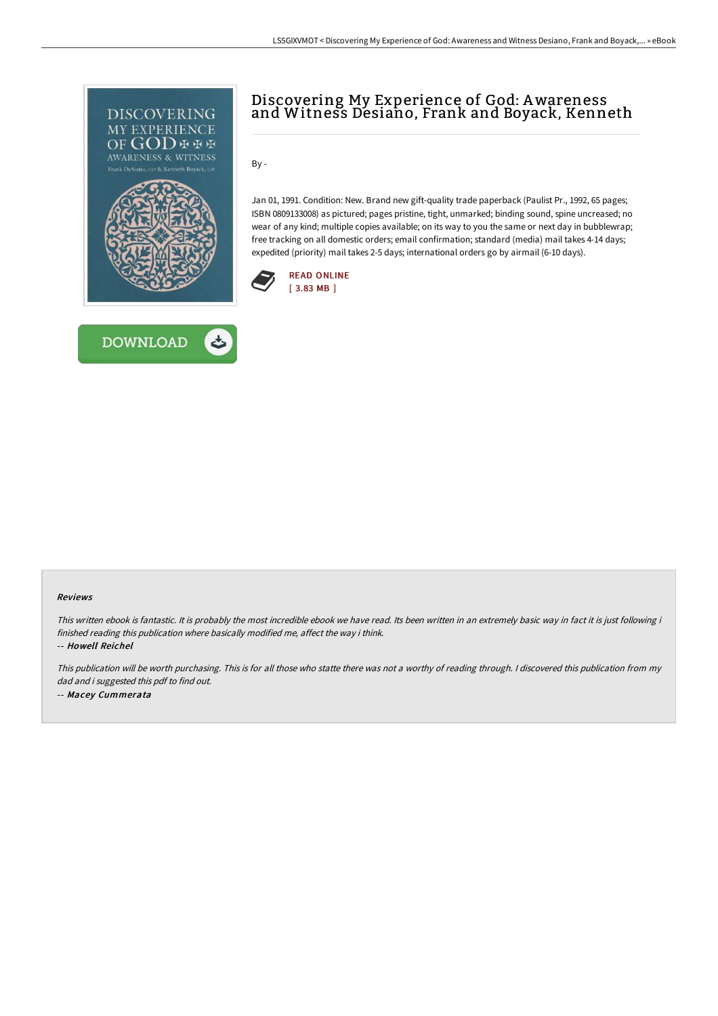



# Discovering My Experience of God: Awareness and Witness Desiano, Frank and Boyack, Kenneth

By -

Jan 01, 1991. Condition: New. Brand new gift-quality trade paperback (Paulist Pr., 1992, 65 pages; ISBN 0809133008) as pictured; pages pristine, tight, unmarked; binding sound, spine uncreased; no wear of any kind; multiple copies available; on its way to you the same or next day in bubblewrap; free tracking on all domestic orders; email confirmation; standard (media) mail takes 4-14 days; expedited (priority) mail takes 2-5 days; international orders go by airmail (6-10 days).



#### Reviews

This written ebook is fantastic. It is probably the most incredible ebook we have read. Its been written in an extremely basic way in fact it is just following i finished reading this publication where basically modified me, affect the way i think.

-- Howell Reichel

This publication will be worth purchasing. This is for all those who statte there was not <sup>a</sup> worthy of reading through. <sup>I</sup> discovered this publication from my dad and i suggested this pdf to find out. -- Macey Cummerata